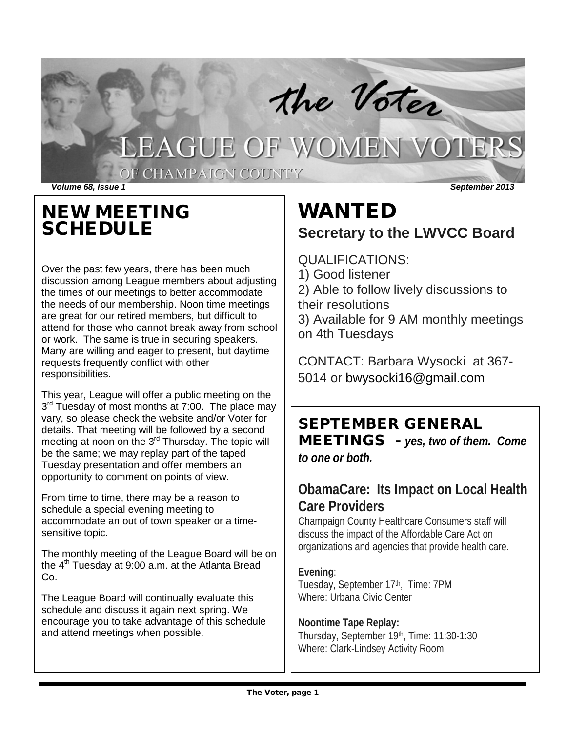

# NEW MEETING SCHEDULE

Over the past few years, there has been much discussion among League members about adjusting the times of our meetings to better accommodate the needs of our membership. Noon time meetings are great for our retired members, but difficult to attend for those who cannot break away from school or work. The same is true in securing speakers. Many are willing and eager to present, but daytime requests frequently conflict with other responsibilities.

This year, League will offer a public meeting on the 3<sup>rd</sup> Tuesday of most months at 7:00. The place may vary, so please check the website and/or Voter for details. That meeting will be followed by a second meeting at noon on the 3<sup>rd</sup> Thursday. The topic will be the same; we may replay part of the taped Tuesday presentation and offer members an opportunity to comment on points of view.

From time to time, there may be a reason to schedule a special evening meeting to accommodate an out of town speaker or a timesensitive topic.

The monthly meeting of the League Board will be on the  $4<sup>th</sup>$  Tuesday at 9:00 a.m. at the Atlanta Bread Co.

The League Board will continually evaluate this schedule and discuss it again next spring. We encourage you to take advantage of this schedule and attend meetings when possible.

# WANTED **Secretary to the LWVCC Board**

QUALIFICATIONS:

1) Good listener

2) Able to follow lively discussions to their resolutions

3) Available for 9 AM monthly meetings on 4th Tuesdays

CONTACT: Barbara Wysocki at 367- 5014 or bwysocki16@gmail.com

# SEPTEMBER GENERAL

MEETINGS - *yes, two of them. Come to one or both.*

## **ObamaCare: Its Impact on Local Health Care Providers**

Champaign County Healthcare Consumers staff will discuss the impact of the Affordable Care Act on organizations and agencies that provide health care.

## **Evening**:

Tuesday, September 17th, Time: 7PM Where: Urbana Civic Center

### **Noontime Tape Replay:**

Thursday, September 19th, Time: 11:30-1:30 Where: Clark-Lindsey Activity Room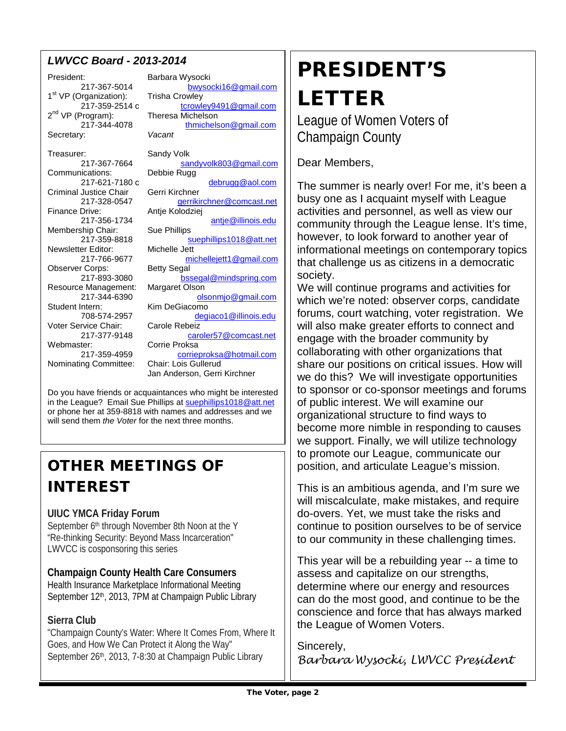## *LWVCC Board - 2013-2014*

President: Barbara Wysocki  $1<sup>st</sup> VP$  (Organization): Trisha Crowley<br>217-359-2514 c trowle  $2^{nd}$  VP (Program):<br>217-344-4078 Secretary: *Vacant* Treasurer: Sandy Volk<br>217-367-7664 sar Communications: Criminal Justice Chair Gerri Kirchner<br>217-328-0547 Gerriki Drive: Antje Kolodziej<br>217-356-1734 Membership Chair: Sue Phillips<br>217-359-8818 Newsletter Editor:<br>217-766-9677 Observer Corps: Resource Management:

Student Intern:<br>708-574-2957

Nominating Committee:

217-367-5014 [bwysocki16@gmail.com](mailto:bwysocki16@gmail.com) [tcrowley9491@gmail.com](mailto:tcrowley9491@gmail.com)<br>Theresa Michelson thmichelson@gmail.com [sandyvolk803@gmail.com](mailto:sandyvolk803@gmail.com)<br>Debbie Rugg 217-621-7180 c [debrugg@aol.com](mailto:debrugg@aol.com) 217-328-0547 [gerrikirchner@comcast.net](mailto:gerrikirchner@comcast.net)<br>Finance Drive: Antie Kolodziei [antje@illinois.edu](mailto:antje@illinois.edu) [suephillips1018@att.net](mailto:suephillips1018@att.net)<br>Michelle Jett michellejett1@gmail.com<br>Betty Segal 217-893-3080 [bssegal@mindspring.com](mailto:bssegal@mindspring.com)<br>e Management: Margaret Olson 217-344-6390 **[olsonmjo@gmail.com](mailto:olsonmjo@gmail.com)**<br>Intern: Kim DeGiacomo [degiaco1@illinois.edu](mailto:degiaco1@illinois.edu) Voter Service Chair: Carole Rebeiz 217-377-9148 caroler57@comcast.net<br>
Corrie Proksa ter: Corrie Proksa<br>217-359-4959 **Corrier** [corrieproksa@hotmail.com](mailto:corrieproksa@hotmail.com)<br>Chair: Lois Gullerud Jan Anderson, Gerri Kirchner

Do you have friends or acquaintances who might be interested in the League? Email Sue Phillips a[t suephillips1018@att.net](mailto:suephillips1018@att.net) or phone her at 359-8818 with names and addresses and we will send them *the Voter* for the next three months.

# OTHER MEETINGS OF INTEREST

### **UIUC YMCA Friday Forum**

September 6<sup>th</sup> through November 8th Noon at the Y "Re-thinking Security: Beyond Mass Incarceration" LWVCC is cosponsoring this series

**Champaign County Health Care Consumers** Health Insurance Marketplace Informational Meeting September 12<sup>th</sup>, 2013, 7PM at Champaign Public Library

### **Sierra Club**

"Champaign County's Water: Where It Comes From, Where It Goes, and How We Can Protect it Along the Way" September 26th, 2013, 7-8:30 at Champaign Public Library

# PRESIDENT'S LETTER

League of Women Voters of Champaign County

Dear Members,

The summer is nearly over! For me, it's been a busy one as I acquaint myself with League activities and personnel, as well as view our community through the League lense. It's time, however, to look forward to another year of informational meetings on contemporary topics that challenge us as citizens in a democratic society.

We will continue programs and activities for which we're noted: observer corps, candidate forums, court watching, voter registration. We will also make greater efforts to connect and engage with the broader community by collaborating with other organizations that share our positions on critical issues. How will we do this? We will investigate opportunities to sponsor or co-sponsor meetings and forums of public interest. We will examine our organizational structure to find ways to become more nimble in responding to causes we support. Finally, we will utilize technology to promote our League, communicate our position, and articulate League's mission.

This is an ambitious agenda, and I'm sure we will miscalculate, make mistakes, and require do-overs. Yet, we must take the risks and continue to position ourselves to be of service to our community in these challenging times.

This year will be a rebuilding year -- a time to assess and capitalize on our strengths, determine where our energy and resources can do the most good, and continue to be the conscience and force that has always marked the League of Women Voters.

Sincerely, *Barbara Wysocki, LWVCC President*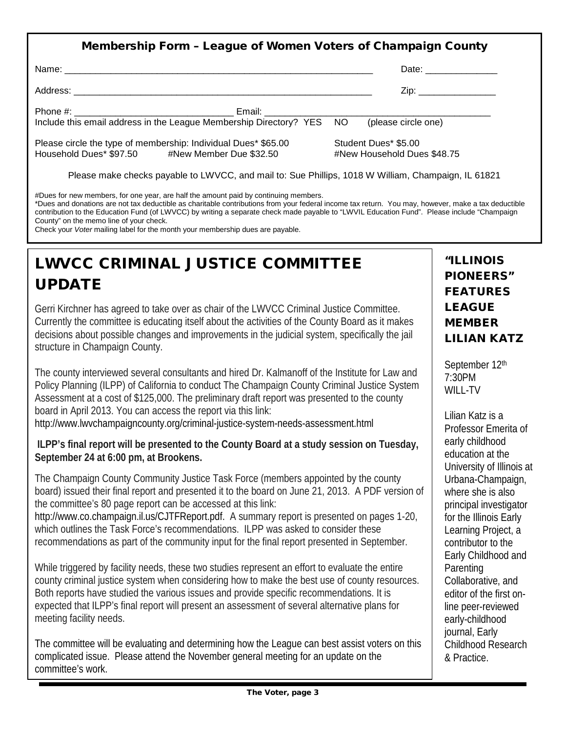| <b>Membership Form - League of Women Voters of Champaign County</b>                                               |                                                     |
|-------------------------------------------------------------------------------------------------------------------|-----------------------------------------------------|
|                                                                                                                   | Date: _________________                             |
|                                                                                                                   | Zip:                                                |
|                                                                                                                   | (please circle one)                                 |
| Please circle the type of membership: Individual Dues* \$65.00<br>Household Dues* \$97.50 #New Member Due \$32.50 | Student Dues* \$5.00<br>#New Household Dues \$48.75 |
| Please make checks payable to LWVCC, and mail to: Sue Phillips, 1018 W William, Champaign, IL 61821               |                                                     |

#Dues for new members, for one year, are half the amount paid by continuing members.

\*Dues and donations are not tax deductible as charitable contributions from your federal income tax return. You may, however, make a tax deductible contribution to the Education Fund (of LWVCC) by writing a separate check made payable to "LWVIL Education Fund". Please include "Champaign County" on the memo line of your check.

Check your *Voter* mailing label for the month your membership dues are payable.

# LWVCC CRIMINAL JUSTICE COMMITTEE UPDATE

Gerri Kirchner has agreed to take over as chair of the LWVCC Criminal Justice Committee. Currently the committee is educating itself about the activities of the County Board as it makes decisions about possible changes and improvements in the judicial system, specifically the jail structure in Champaign County.

The county interviewed several consultants and hired Dr. Kalmanoff of the Institute for Law and Policy Planning (ILPP) of California to conduct The Champaign County Criminal Justice System Assessment at a cost of \$125,000. The preliminary draft report was presented to the county board in April 2013. You can access the report via this link:

http://www.lwvchampaigncounty.org/criminal-justice-system-needs-assessment.html

### **ILPP's final report will be presented to the County Board at a study session on Tuesday, September 24 at 6:00 pm, at Brookens.**

The Champaign County Community Justice Task Force (members appointed by the county board) issued their final report and presented it to the board on June 21, 2013. A PDF version of the committee's 80 page report can be accessed at this link:

http://www.co.champaign.il.us/CJTFReport.pdf. A summary report is presented on pages 1-20, which outlines the Task Force's recommendations. ILPP was asked to consider these recommendations as part of the community input for the final report presented in September.

While triggered by facility needs, these two studies represent an effort to evaluate the entire county criminal justice system when considering how to make the best use of county resources. Both reports have studied the various issues and provide specific recommendations. It is expected that ILPP's final report will present an assessment of several alternative plans for meeting facility needs.

The committee will be evaluating and determining how the League can best assist voters on this complicated issue. Please attend the November general meeting for an update on the committee's work.

## "ILLINOIS PIONEERS" FEATURES LEAGUE MEMBER LILIAN KATZ

September 12<sup>th</sup> 7:30PM WILL-TV

Lilian Katz is a Professor Emerita of early childhood education at the University of Illinois at Urbana-Champaign, where she is also principal investigator for the Illinois Early Learning Project, a contributor to the Early Childhood and Parenting Collaborative, and editor of the first online peer-reviewed early-childhood journal, Early Childhood Research & Practice.